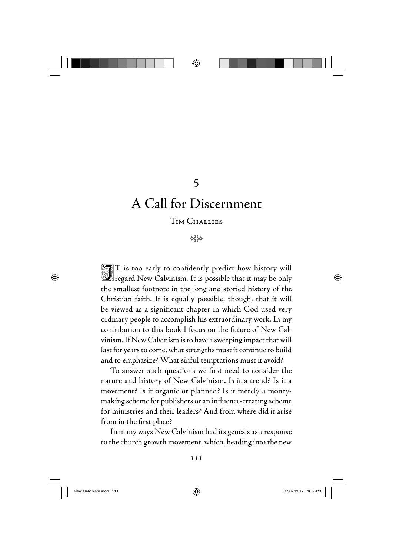# ⊕

5

## A Call for Discernment

### Tim Challies

### ्<br>%

 $\widehat{\mathbb{T}}$  is too early to confidently predict how history will  $\blacksquare$ regard New Calvinism. It is possible that it may be only the smallest footnote in the long and storied history of the Christian faith. It is equally possible, though, that it will be viewed as a significant chapter in which God used very ordinary people to accomplish his extraordinary work. In my contribution to this book I focus on the future of New Calvinism. If New Calvinism is to have a sweeping impact that will last for years to come, what strengths must it continue to build and to emphasize? What sinful temptations must it avoid?

To answer such questions we first need to consider the nature and history of New Calvinism. Is it a trend? Is it a movement? Is it organic or planned? Is it merely a moneymaking scheme for publishers or an influence-creating scheme for ministries and their leaders? And from where did it arise from in the first place?

In many ways New Calvinism had its genesis as a response to the church growth movement, which, heading into the new

New Calvinism.indd 111 11 **and 120 and 120 and 120 and 120 and 130 and 130 and 130 and 130 and 130 and 140 and 150 and 16:29:20** 

⊕

⊕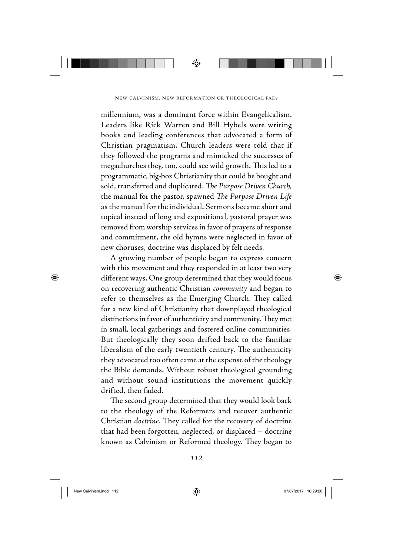

#### NEW CALVINISM: NEW REFORMATION OR THEOLOGICAL FAD?

millennium, was a dominant force within Evangelicalism. Leaders like Rick Warren and Bill Hybels were writing books and leading conferences that advocated a form of Christian pragmatism. Church leaders were told that if they followed the programs and mimicked the successes of megachurches they, too, could see wild growth. This led to a programmatic, big-box Christianity that could be bought and sold, transferred and duplicated. The Purpose Driven Church, the manual for the pastor, spawned The Purpose Driven Life as the manual for the individual. Sermons became short and topical instead of long and expositional, pastoral prayer was removed from worship services in favor of prayers of response and commitment, the old hymns were neglected in favor of new choruses, doctrine was displaced by felt needs.

A growing number of people began to express concern with this movement and they responded in at least two very different ways. One group determined that they would focus on recovering authentic Christian community and began to refer to themselves as the Emerging Church. They called for a new kind of Christianity that downplayed theological distinctions in favor of authenticity and community. They met in small, local gatherings and fostered online communities. But theologically they soon drifted back to the familiar liberalism of the early twentieth century. The authenticity they advocated too often came at the expense of the theology the Bible demands. Without robust theological grounding and without sound institutions the movement quickly drifted, then faded.

The second group determined that they would look back to the theology of the Reformers and recover authentic Christian *doctrine*. They called for the recovery of doctrine that had been forgotten, neglected, or displaced – doctrine known as Calvinism or Reformed theology. They began to

⊕

⊕